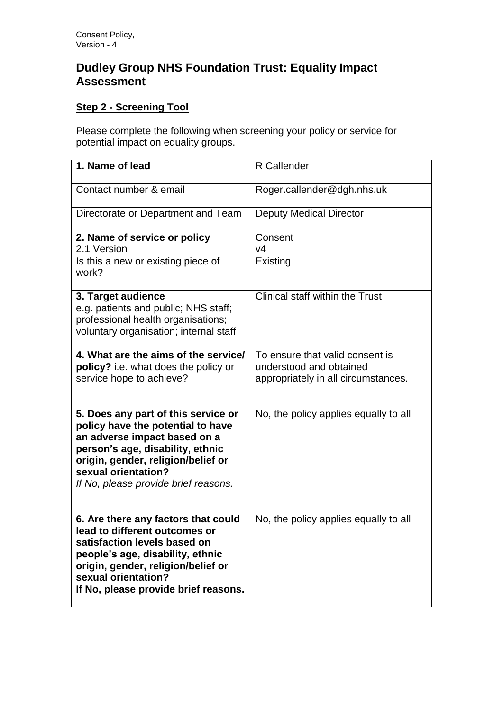## **Dudley Group NHS Foundation Trust: Equality Impact Assessment**

## **Step 2 - Screening Tool**

Please complete the following when screening your policy or service for potential impact on equality groups.

| 1. Name of lead                                                                                                                                                                                                                                   | R Callender                                                                                       |
|---------------------------------------------------------------------------------------------------------------------------------------------------------------------------------------------------------------------------------------------------|---------------------------------------------------------------------------------------------------|
| Contact number & email                                                                                                                                                                                                                            | Roger.callender@dgh.nhs.uk                                                                        |
| Directorate or Department and Team                                                                                                                                                                                                                | <b>Deputy Medical Director</b>                                                                    |
| 2. Name of service or policy<br>2.1 Version                                                                                                                                                                                                       | Consent<br>V <sub>4</sub>                                                                         |
| Is this a new or existing piece of<br>work?                                                                                                                                                                                                       | Existing                                                                                          |
| 3. Target audience<br>e.g. patients and public; NHS staff;<br>professional health organisations;<br>voluntary organisation; internal staff                                                                                                        | Clinical staff within the Trust                                                                   |
| 4. What are the aims of the service/<br>policy? i.e. what does the policy or<br>service hope to achieve?                                                                                                                                          | To ensure that valid consent is<br>understood and obtained<br>appropriately in all circumstances. |
| 5. Does any part of this service or<br>policy have the potential to have<br>an adverse impact based on a<br>person's age, disability, ethnic<br>origin, gender, religion/belief or<br>sexual orientation?<br>If No, please provide brief reasons. | No, the policy applies equally to all                                                             |
| 6. Are there any factors that could<br>lead to different outcomes or<br>satisfaction levels based on<br>people's age, disability, ethnic<br>origin, gender, religion/belief or<br>sexual orientation?<br>If No, please provide brief reasons.     | No, the policy applies equally to all                                                             |